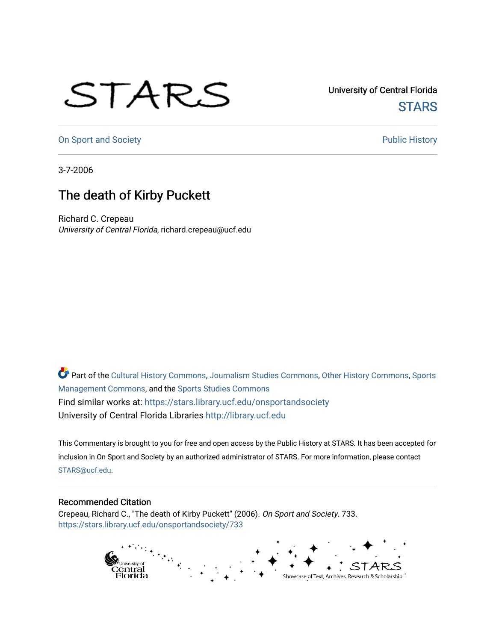## STARS

University of Central Florida **STARS** 

[On Sport and Society](https://stars.library.ucf.edu/onsportandsociety) **Public History** Public History

3-7-2006

## The death of Kirby Puckett

Richard C. Crepeau University of Central Florida, richard.crepeau@ucf.edu

Part of the [Cultural History Commons](http://network.bepress.com/hgg/discipline/496?utm_source=stars.library.ucf.edu%2Fonsportandsociety%2F733&utm_medium=PDF&utm_campaign=PDFCoverPages), [Journalism Studies Commons,](http://network.bepress.com/hgg/discipline/333?utm_source=stars.library.ucf.edu%2Fonsportandsociety%2F733&utm_medium=PDF&utm_campaign=PDFCoverPages) [Other History Commons,](http://network.bepress.com/hgg/discipline/508?utm_source=stars.library.ucf.edu%2Fonsportandsociety%2F733&utm_medium=PDF&utm_campaign=PDFCoverPages) [Sports](http://network.bepress.com/hgg/discipline/1193?utm_source=stars.library.ucf.edu%2Fonsportandsociety%2F733&utm_medium=PDF&utm_campaign=PDFCoverPages) [Management Commons](http://network.bepress.com/hgg/discipline/1193?utm_source=stars.library.ucf.edu%2Fonsportandsociety%2F733&utm_medium=PDF&utm_campaign=PDFCoverPages), and the [Sports Studies Commons](http://network.bepress.com/hgg/discipline/1198?utm_source=stars.library.ucf.edu%2Fonsportandsociety%2F733&utm_medium=PDF&utm_campaign=PDFCoverPages) Find similar works at: <https://stars.library.ucf.edu/onsportandsociety> University of Central Florida Libraries [http://library.ucf.edu](http://library.ucf.edu/) 

This Commentary is brought to you for free and open access by the Public History at STARS. It has been accepted for inclusion in On Sport and Society by an authorized administrator of STARS. For more information, please contact [STARS@ucf.edu](mailto:STARS@ucf.edu).

## Recommended Citation

Crepeau, Richard C., "The death of Kirby Puckett" (2006). On Sport and Society. 733. [https://stars.library.ucf.edu/onsportandsociety/733](https://stars.library.ucf.edu/onsportandsociety/733?utm_source=stars.library.ucf.edu%2Fonsportandsociety%2F733&utm_medium=PDF&utm_campaign=PDFCoverPages)

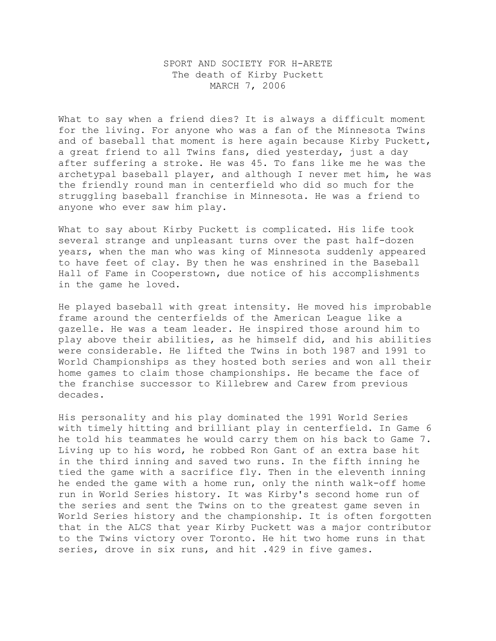## SPORT AND SOCIETY FOR H-ARETE The death of Kirby Puckett MARCH 7, 2006

What to say when a friend dies? It is always a difficult moment for the living. For anyone who was a fan of the Minnesota Twins and of baseball that moment is here again because Kirby Puckett, a great friend to all Twins fans, died yesterday, just a day after suffering a stroke. He was 45. To fans like me he was the archetypal baseball player, and although I never met him, he was the friendly round man in centerfield who did so much for the struggling baseball franchise in Minnesota. He was a friend to anyone who ever saw him play.

What to say about Kirby Puckett is complicated. His life took several strange and unpleasant turns over the past half-dozen years, when the man who was king of Minnesota suddenly appeared to have feet of clay. By then he was enshrined in the Baseball Hall of Fame in Cooperstown, due notice of his accomplishments in the game he loved.

He played baseball with great intensity. He moved his improbable frame around the centerfields of the American League like a gazelle. He was a team leader. He inspired those around him to play above their abilities, as he himself did, and his abilities were considerable. He lifted the Twins in both 1987 and 1991 to World Championships as they hosted both series and won all their home games to claim those championships. He became the face of the franchise successor to Killebrew and Carew from previous decades.

His personality and his play dominated the 1991 World Series with timely hitting and brilliant play in centerfield. In Game 6 he told his teammates he would carry them on his back to Game 7. Living up to his word, he robbed Ron Gant of an extra base hit in the third inning and saved two runs. In the fifth inning he tied the game with a sacrifice fly. Then in the eleventh inning he ended the game with a home run, only the ninth walk-off home run in World Series history. It was Kirby's second home run of the series and sent the Twins on to the greatest game seven in World Series history and the championship. It is often forgotten that in the ALCS that year Kirby Puckett was a major contributor to the Twins victory over Toronto. He hit two home runs in that series, drove in six runs, and hit .429 in five games.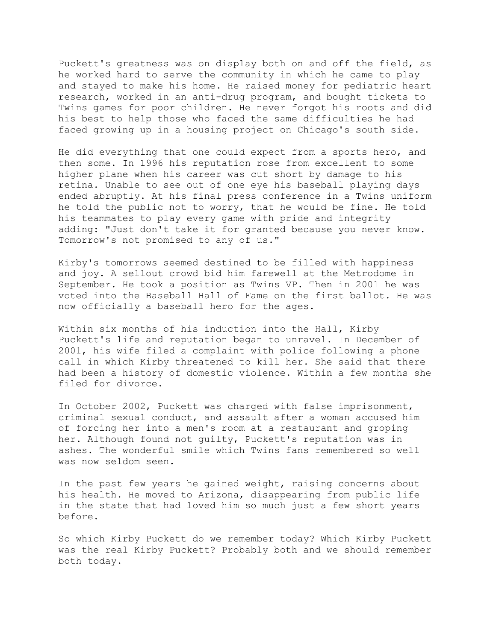Puckett's greatness was on display both on and off the field, as he worked hard to serve the community in which he came to play and stayed to make his home. He raised money for pediatric heart research, worked in an anti-drug program, and bought tickets to Twins games for poor children. He never forgot his roots and did his best to help those who faced the same difficulties he had faced growing up in a housing project on Chicago's south side.

He did everything that one could expect from a sports hero, and then some. In 1996 his reputation rose from excellent to some higher plane when his career was cut short by damage to his retina. Unable to see out of one eye his baseball playing days ended abruptly. At his final press conference in a Twins uniform he told the public not to worry, that he would be fine. He told his teammates to play every game with pride and integrity adding: "Just don't take it for granted because you never know. Tomorrow's not promised to any of us."

Kirby's tomorrows seemed destined to be filled with happiness and joy. A sellout crowd bid him farewell at the Metrodome in September. He took a position as Twins VP. Then in 2001 he was voted into the Baseball Hall of Fame on the first ballot. He was now officially a baseball hero for the ages.

Within six months of his induction into the Hall, Kirby Puckett's life and reputation began to unravel. In December of 2001, his wife filed a complaint with police following a phone call in which Kirby threatened to kill her. She said that there had been a history of domestic violence. Within a few months she filed for divorce.

In October 2002, Puckett was charged with false imprisonment, criminal sexual conduct, and assault after a woman accused him of forcing her into a men's room at a restaurant and groping her. Although found not guilty, Puckett's reputation was in ashes. The wonderful smile which Twins fans remembered so well was now seldom seen.

In the past few years he gained weight, raising concerns about his health. He moved to Arizona, disappearing from public life in the state that had loved him so much just a few short years before.

So which Kirby Puckett do we remember today? Which Kirby Puckett was the real Kirby Puckett? Probably both and we should remember both today.